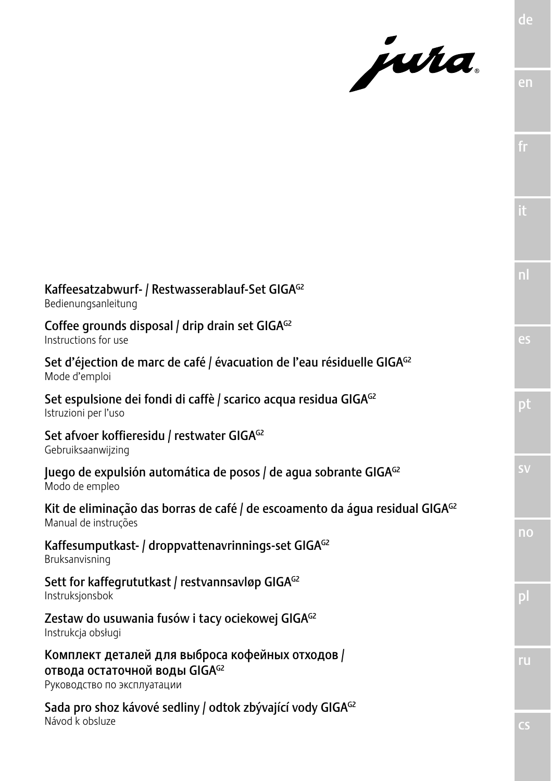jura.

| Kaffeesatzabwurf- / Restwasserablauf-Set GIGAG2<br>Bedienungsanleitung                                           |
|------------------------------------------------------------------------------------------------------------------|
| Coffee grounds disposal / drip drain set GIGAG2<br>Instructions for use                                          |
| Set d'éjection de marc de café / évacuation de l'eau résiduelle GIGA <sup>G2</sup><br>Mode d'emploi              |
| Set espulsione dei fondi di caffè / scarico acqua residua GIGA <sup>G2</sup><br>Istruzioni per l'uso             |
| Set afvoer koffieresidu / restwater GIGAG2<br>Gebruiksaanwijzing                                                 |
| Juego de expulsión automática de posos / de agua sobrante GIGAG2<br>Modo de empleo                               |
| Kit de eliminação das borras de café / de escoamento da áqua residual GIGA <sup>G2</sup><br>Manual de instruções |
| Kaffesumputkast- / droppvattenavrinnings-set GIGA <sup>G2</sup><br>Bruksanvisning                                |
| Sett for kaffegrututkast / restvannsavløp GIGAG2<br>Instruksjonsbok                                              |
| Zestaw do usuwania fusów i tacy ociekowej GIGA <sup>G2</sup><br>Instrukcja obsługi                               |
| Комплект деталей для выброса кофейных отходов /<br>отвода остаточной воды GIGAG2<br>Руководство по эксплуатации  |
| Sada pro shoz kávové sedliny / odtok zbývající vody GIGA <sup>G2</sup><br>Návod k obsluze                        |

fr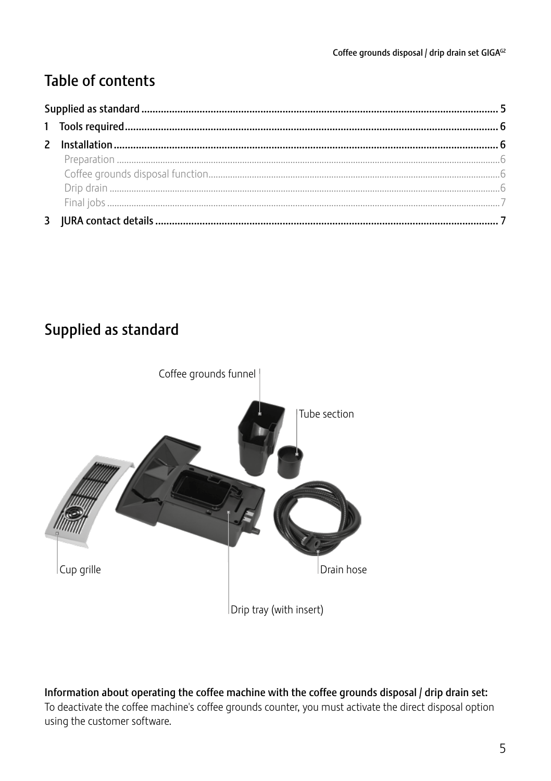# **Table of contents**

## Supplied as standard



Information about operating the coffee machine with the coffee grounds disposal / drip drain set: To deactivate the coffee machine's coffee grounds counter, you must activate the direct disposal option using the customer software.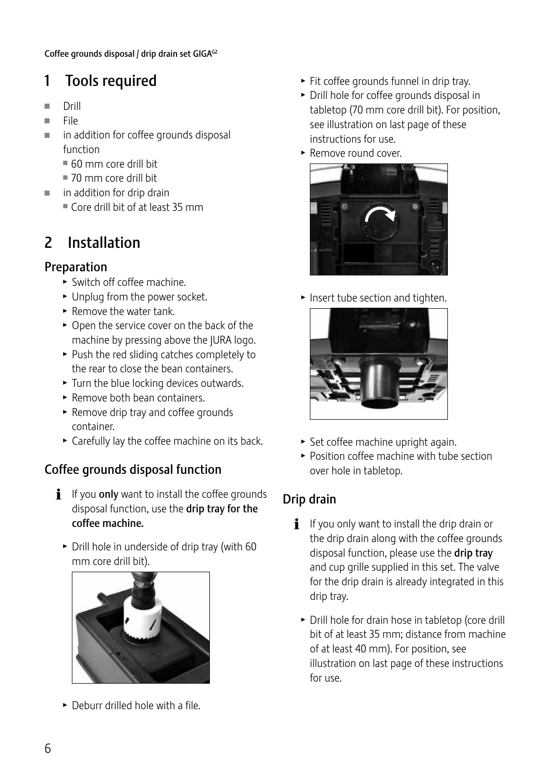# 1 Tools required

- Drill<br>■ File
- File
- in addition for coffee grounds disposal function
	- $= 60$  mm core drill bit
	- $\equiv$  70 mm core drill bit
- $\blacksquare$  in addition for drip drain
	- $\blacksquare$  Core drill bit of at least 35 mm

# 2 Installation

### Preparation

- $\blacktriangleright$  Switch off coffee machine.
- $\blacktriangleright$  Unplug from the power socket.
- $\blacktriangleright$  Remove the water tank.
- $\triangleright$  Open the service cover on the back of the machine by pressing above the JURA logo.
- $\blacktriangleright$  Push the red sliding catches completely to the rear to close the bean containers.
- $\blacktriangleright$  Turn the blue locking devices outwards.
- $\blacktriangleright$  Remove both bean containers.
- $\blacktriangleright$  Remove drip tray and coffee grounds container.
- $\triangleright$  Carefully lay the coffee machine on its back.

## Coffee grounds disposal function

- **i** If you **only** want to install the coffee grounds disposal function, use the drip tray for the coffee machine.
	- $\triangleright$  Drill hole in underside of drip tray (with 60 mm core drill bit).



 $\triangleright$  Deburr drilled hole with a file.

- $\blacktriangleright$  Fit coffee grounds funnel in drip tray.
- $\triangleright$  Drill hole for coffee grounds disposal in tabletop (70 mm core drill bit). For position, see illustration on last page of these instructions for use.
- $\blacktriangleright$  Remove round cover.



 $\blacktriangleright$  Insert tube section and tighten.



- $\triangleright$  Set coffee machine upright again.
- $\blacktriangleright$  Position coffee machine with tube section over hole in tabletop.

## Drip drain

- $\mathbf{i}$  If you only want to install the drip drain or the drip drain along with the coffee grounds disposal function, please use the drip tray and cup grille supplied in this set. The valve for the drip drain is already integrated in this drip tray.
	- $\triangleright$  Drill hole for drain hose in tabletop (core drill bit of at least 35 mm; distance from machine of at least 40 mm). For position, see illustration on last page of these instructions for use.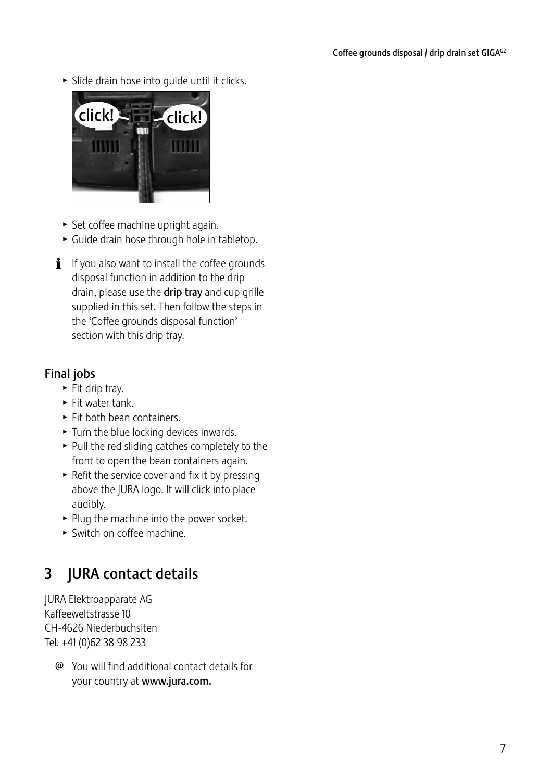$\blacktriangleright$  Slide drain hose into quide until it clicks.



- $\blacktriangleright$  Set coffee machine upright again.
- $\blacktriangleright$  Guide drain hose through hole in tabletop.
- $\mathbf{i}$  If you also want to install the coffee grounds disposal function in addition to the drip drain, please use the drip tray and cup grille supplied in this set. Then follow the steps in the 'Coffee grounds disposal function' section with this drip tray.

### Final jobs

- $\blacktriangleright$  Fit drip tray.
- $\blacktriangleright$  Fit water tank.
- $\blacktriangleright$  Fit both bean containers.
- $\blacktriangleright$  Turn the blue locking devices inwards.
- $\blacktriangleright$  Pull the red sliding catches completely to the front to open the bean containers again.
- $\blacktriangleright$  Refit the service cover and fix it by pressing above the JURA logo. It will click into place audibly.
- $\blacktriangleright$  Plug the machine into the power socket.
- $\blacktriangleright$  Switch on coffee machine.

# 3 JURA contact details

JURA Elektroapparate AG Kaffeeweltstrasse 10 CH-4626 Niederbuchsiten Tel. +41 (0)62 38 98 233

@ You will find additional contact details for your country at www.jura.com.